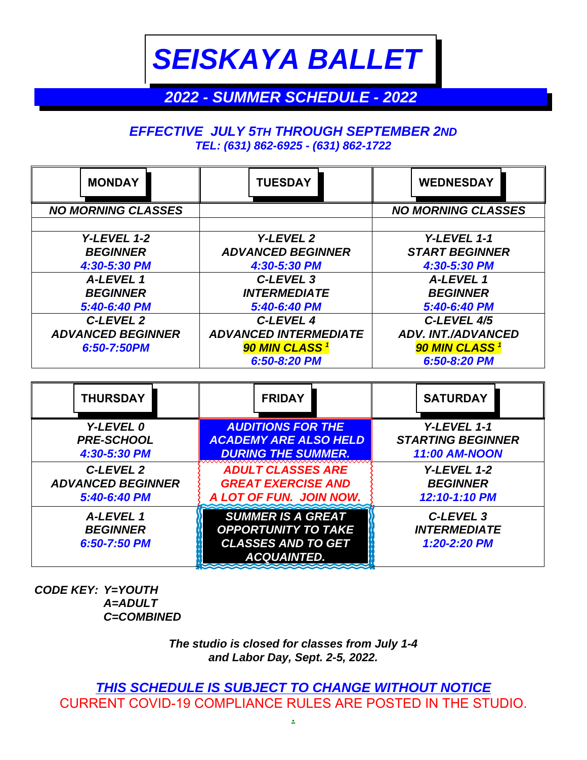*SEISKAYA BALLET*

## *2022 - SUMMER SCHEDULE - 2022*

## *EFFECTIVE JULY 5TH THROUGH SEPTEMBER 2ND TEL: (631) 862-6925 - (631) 862-1722*

| <b>MONDAY</b>             | <b>TUESDAY</b>               | <b>WEDNESDAY</b>          |  |
|---------------------------|------------------------------|---------------------------|--|
| <b>NO MORNING CLASSES</b> |                              | <b>NO MORNING CLASSES</b> |  |
|                           |                              |                           |  |
| Y-LEVEL 1-2               | Y-LEVEL 2                    | Y-LEVEL 1-1               |  |
| <b>BEGINNER</b>           | <b>ADVANCED BEGINNER</b>     | <b>START BEGINNER</b>     |  |
| 4:30-5:30 PM              | 4:30-5:30 PM                 | 4:30-5:30 PM              |  |
| A-LEVEL 1                 | C-LEVEL <sub>3</sub>         | A-LEVEL 1                 |  |
| <b>BEGINNER</b>           | <b>INTERMEDIATE</b>          | <b>BEGINNER</b>           |  |
| 5:40-6:40 PM              | 5:40-6:40 PM                 | 5:40-6:40 PM              |  |
| C-LEVEL 2                 | C-LEVEL 4                    | C-LEVEL 4/5               |  |
| <b>ADVANCED BEGINNER</b>  | <b>ADVANCED INTERMEDIATE</b> | <b>ADV. INT./ADVANCED</b> |  |
| 6:50-7:50PM               | <b>90 MIN CLASS</b>          | <b>90 MIN CLASS</b>       |  |
|                           | 6:50-8:20 PM                 | 6:50-8:20 PM              |  |

| <b>THURSDAY</b>                              | <b>FRIDAY</b>                                                                                             | <b>SATURDAY</b>                                  |
|----------------------------------------------|-----------------------------------------------------------------------------------------------------------|--------------------------------------------------|
| Y-LEVEL 0                                    | <b>AUDITIONS FOR THE</b>                                                                                  | Y-LEVEL 1-1                                      |
| <b>PRE-SCHOOL</b>                            | <b>ACADEMY ARE ALSO HELD</b>                                                                              | <b>STARTING BEGINNER</b>                         |
| 4:30-5:30 PM                                 | <b>DURING THE SUMMER.</b>                                                                                 | <b>11:00 AM-NOON</b>                             |
| C-LEVEL 2                                    | <b>ADULT CLASSES ARE</b>                                                                                  | Y-LEVEL 1-2                                      |
| <b>ADVANCED BEGINNER</b>                     | <b>GREAT EXERCISE AND</b>                                                                                 | <b>BEGINNER</b>                                  |
| 5:40-6:40 PM                                 | A LOT OF FUN. JOIN NOW.                                                                                   | 12:10-1:10 PM                                    |
| A-LEVEL 1<br><b>BEGINNER</b><br>6:50-7:50 PM | <b>SUMMER IS A GREAT</b><br><b>OPPORTUNITY TO TAKE</b><br><b>CLASSES AND TO GET</b><br><b>ACQUAINTED.</b> | C-LEVEL 3<br><b>INTERMEDIATE</b><br>1:20-2:20 PM |

*CODE KEY: Y=YOUTH A=ADULT C=COMBINED*

> *The studio is closed for classes from July 1-4 and Labor Day, Sept. 2-5, 2022.*

*THIS SCHEDULE IS SUBJECT TO CHANGE WITHOUT NOTICE* CURRENT COVID-19 COMPLIANCE RULES ARE POSTED IN THE STUDIO.